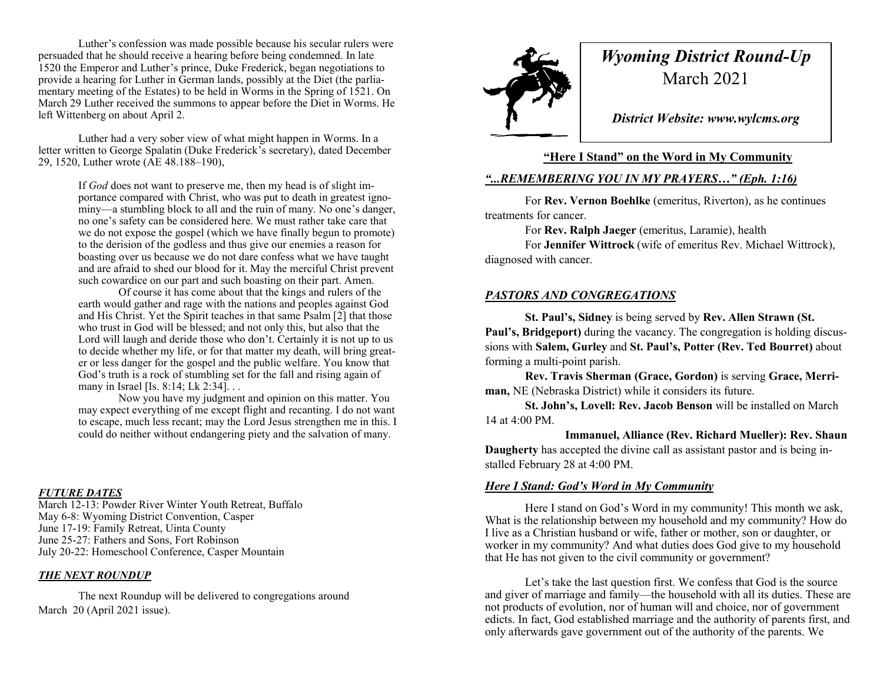Luther's confession was made possible because his secular rulers were persuaded that he should receive a hearing before being condemned. In late 1520 the Emperor and Luther's prince, Duke Frederick, began negotiations to provide a hearing for Luther in German lands, possibly at the Diet (the parliamentary meeting of the Estates) to be held in Worms in the Spring of 1521. On March 29 Luther received the summons to appear before the Diet in Worms. He left Wittenberg on about April 2.

Luther had a very sober view of what might happen in Worms. In a letter written to George Spalatin (Duke Frederick's secretary), dated December 29, 1520, Luther wrote (AE 48.188–190),

> If *God* does not want to preserve me, then my head is of slight importance compared with Christ, who was put to death in greatest ignominy—a stumbling block to all and the ruin of many. No one's danger, no one's safety can be considered here. We must rather take care that we do not expose the gospel (which we have finally begun to promote) to the derision of the godless and thus give our enemies a reason for boasting over us because we do not dare confess what we have taught and are afraid to shed our blood for it. May the merciful Christ prevent such cowardice on our part and such boasting on their part. Amen.

> Of course it has come about that the kings and rulers of the earth would gather and rage with the nations and peoples against God and His Christ. Yet the Spirit teaches in that same Psalm [2] that those who trust in God will be blessed; and not only this, but also that the Lord will laugh and deride those who don't. Certainly it is not up to us to decide whether my life, or for that matter my death, will bring greater or less danger for the gospel and the public welfare. You know that God's truth is a rock of stumbling set for the fall and rising again of many in Israel [Is. 8:14; Lk 2:34]. . .

> Now you have my judgment and opinion on this matter. You may expect everything of me except flight and recanting. I do not want to escape, much less recant; may the Lord Jesus strengthen me in this. I could do neither without endangering piety and the salvation of many.

#### *FUTURE DATES*

March 12-13: Powder River Winter Youth Retreat, Buffalo May 6-8: Wyoming District Convention, Casper June 17-19: Family Retreat, Uinta County June 25-27: Fathers and Sons, Fort Robinson July 20-22: Homeschool Conference, Casper Mountain

### *THE NEXT ROUNDUP*

The next Roundup will be delivered to congregations around March 20 (April 2021 issue).



# *Wyoming District Round-Up* March 2021

*District Website: www.wylcms.org*

# **"Here I Stand" on the Word in My Community**

## *"...REMEMBERING YOU IN MY PRAYERS…" (Eph. 1:16)*

For **Rev. Vernon Boehlke** (emeritus, Riverton), as he continues treatments for cancer.

For **Rev. Ralph Jaeger** (emeritus, Laramie), health

For **Jennifer Wittrock** (wife of emeritus Rev. Michael Wittrock), diagnosed with cancer.

# *PASTORS AND CONGREGATIONS*

**St. Paul's, Sidney** is being served by **Rev. Allen Strawn (St. Paul's, Bridgeport)** during the vacancy. The congregation is holding discussions with **Salem, Gurley** and **St. Paul's, Potter (Rev. Ted Bourret)** about forming a multi-point parish.

**Rev. Travis Sherman (Grace, Gordon)** is serving **Grace, Merriman,** NE (Nebraska District) while it considers its future.

**St. John's, Lovell: Rev. Jacob Benson** will be installed on March 14 at 4:00 PM.

**Immanuel, Alliance (Rev. Richard Mueller): Rev. Shaun Daugherty** has accepted the divine call as assistant pastor and is being installed February 28 at 4:00 PM.

### *Here I Stand: God's Word in My Community*

Here I stand on God's Word in my community! This month we ask, What is the relationship between my household and my community? How do I live as a Christian husband or wife, father or mother, son or daughter, or worker in my community? And what duties does God give to my household that He has not given to the civil community or government?

Let's take the last question first. We confess that God is the source and giver of marriage and family—the household with all its duties. These are not products of evolution, nor of human will and choice, nor of government edicts. In fact, God established marriage and the authority of parents first, and only afterwards gave government out of the authority of the parents. We